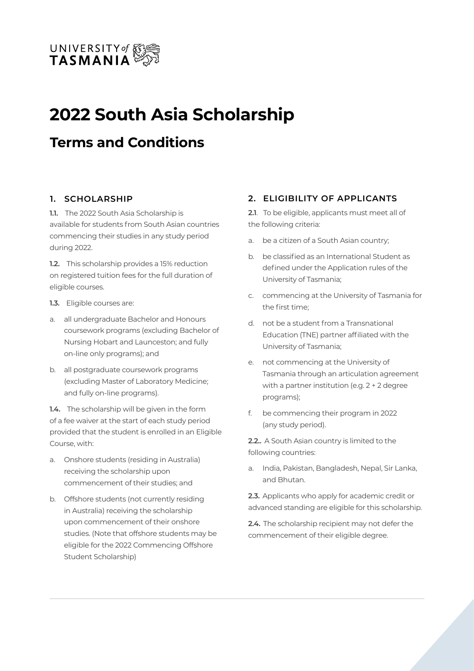

# **2022 South Asia Scholarship**

# **Terms and Conditions**

#### **1. SCHOLARSHIP**

**1.1.** The 2022 South Asia Scholarship is available for students from South Asian countries commencing their studies in any study period during 2022.

**1.2.** This scholarship provides a 15% reduction on registered tuition fees for the full duration of eligible courses.

- **1.3.** Eligible courses are:
- a. all undergraduate Bachelor and Honours coursework programs (excluding Bachelor of Nursing Hobart and Launceston; and fully on-line only programs); and
- b. all postgraduate coursework programs (excluding Master of Laboratory Medicine; and fully on-line programs).

**1.4.** The scholarship will be given in the form of a fee waiver at the start of each study period provided that the student is enrolled in an Eligible Course, with:

- a. Onshore students (residing in Australia) receiving the scholarship upon commencement of their studies; and
- b. Offshore students (not currently residing in Australia) receiving the scholarship upon commencement of their onshore studies. (Note that offshore students may be eligible for the 2022 Commencing Offshore Student Scholarship)

#### **2. ELIGIBILITY OF APPLICANTS**

**2.1**. To be eligible, applicants must meet all of the following criteria:

- a. be a citizen of a South Asian country;
- b. be classified as an International Student as defined under the Application rules of the University of Tasmania;
- c. commencing at the University of Tasmania for the first time;
- d. not be a student from a Transnational Education (TNE) partner affiliated with the University of Tasmania;
- e. not commencing at the University of Tasmania through an articulation agreement with a partner institution (e.g. 2 + 2 degree programs);
- f. be commencing their program in 2022 (any study period).

**2.2..** A South Asian country is limited to the following countries:

a. India, Pakistan, Bangladesh, Nepal, Sir Lanka, and Bhutan.

**2.3.** Applicants who apply for academic credit or advanced standing are eligible for this scholarship.

**2.4.** The scholarship recipient may not defer the commencement of their eligible degree.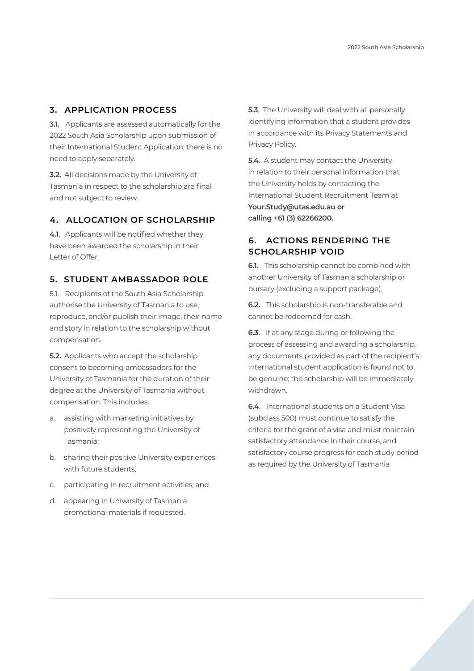#### **3. APPLICATION PROCESS**

**3.1.** Applicants are assessed automatically for the 2022 South Asia Scholarship upon submission of their International Student Application; there is no need to apply separately.

**3.2.** All decisions made by the University of Tasmania in respect to the scholarship are final and not subject to review.

#### **4. ALLOCATION OF SCHOLARSHIP**

**4.1**. Applicants will be notified whether they have been awarded the scholarship in their Letter of Offer.

### **5. STUDENT AMBASSADOR ROLE**

5.1. Recipients of the South Asia Scholarship authorise the University of Tasmania to use, reproduce, and/or publish their image, their name and story in relation to the scholarship without compensation.

**5.2.** Applicants who accept the scholarship consent to becoming ambassadors for the University of Tasmania for the duration of their degree at the University of Tasmania without compensation. This includes:

- a. assisting with marketing initiatives by positively representing the University of Tasmania;
- b. sharing their positive University experiences with future students;
- c. participating in recruitment activities; and
- d. appearing in University of Tasmania promotional materials if requested.

**5.3**. The University will deal with all personally identifying information that a student provides in accordance with its Privacy Statements and Privacy Policy.

**5.4.** A student may contact the University in relation to their personal information that the University holds by contacting the International Student Recruitment Team at **Your.Study@utas.edu.au or calling +61 (3) 62266200.**

## **6. ACTIONS RENDERING THE SCHOLARSHIP VOID**

**6.1.** This scholarship cannot be combined with another University of Tasmania scholarship or bursary (excluding a support package).

**6.2.** This scholarship is non-transferable and cannot be redeemed for cash.

**6.3.** If at any stage during or following the process of assessing and awarding a scholarship, any documents provided as part of the recipient's international student application is found not to be genuine; the scholarship will be immediately withdrawn.

**6.4**. International students on a Student Visa (subclass 500) must continue to satisfy the criteria for the grant of a visa and must maintain satisfactory attendance in their course, and satisfactory course progress for each study period as required by the University of Tasmania